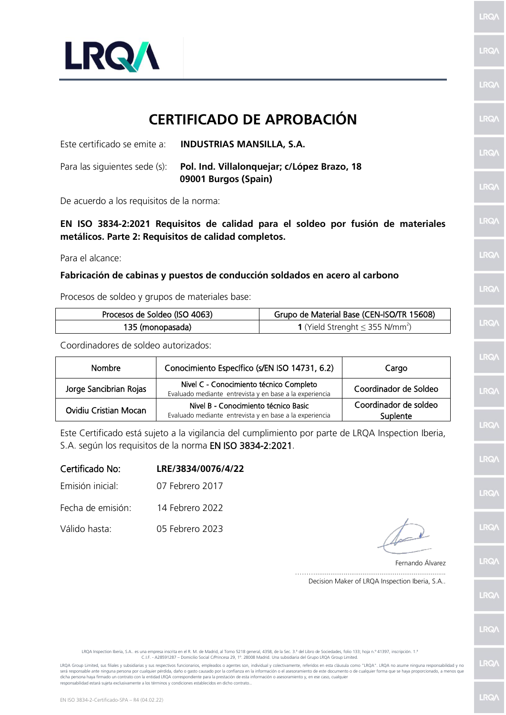

## **CERTIFICADO DE APROBACIÓN**

| Este certificado se emite a:  | <b>INDUSTRIAS MANSILLA, S.A.</b>                                    |
|-------------------------------|---------------------------------------------------------------------|
| Para las siguientes sede (s): | Pol. Ind. Villalonquejar; c/López Brazo, 18<br>09001 Burgos (Spain) |

De acuerdo a los requisitos de la norma:

**EN ISO 3834-2:2021 Requisitos de calidad para el soldeo por fusión de materiales metálicos. Parte 2: Requisitos de calidad completos.**

Para el alcance:

## **Fabricación de cabinas y puestos de conducción soldados en acero al carbono**

Procesos de soldeo y grupos de materiales base:

| Procesos de Soldeo (ISO 4063) | Grupo de Material Base (CEN-ISO/TR 15608)               |  |
|-------------------------------|---------------------------------------------------------|--|
| 135 (monopasada)              | <b>1</b> (Yield Strenght $\leq$ 355 N/mm <sup>2</sup> ) |  |

Coordinadores de soldeo autorizados:

| <b>Nombre</b>          | Conocimiento Específico (s/EN ISO 14731, 6.2)                                                      | Cargo                             |
|------------------------|----------------------------------------------------------------------------------------------------|-----------------------------------|
| Jorge Sancibrian Rojas | Nivel C - Conocimiento técnico Completo<br>Evaluado mediante entrevista y en base a la experiencia | Coordinador de Soldeo             |
| Ovidiu Cristian Mocan  | Nivel B - Conocimiento técnico Basic<br>Evaluado mediante entrevista y en base a la experiencia    | Coordinador de soldeo<br>Suplente |

Este Certificado está sujeto a la vigilancia del cumplimiento por parte de LRQA Inspection Iberia, S.A. según los requisitos de la norma EN ISO 3834-2:2021.

| Certificado No:   | LRE/3834/0076/4/22 |
|-------------------|--------------------|
| Emisión inicial:  | 07 Febrero 2017    |
| Fecha de emisión: | 14 Febrero 2022    |
| Válido hasta:     | 05 Febrero 2023    |

Fernando Álvarez

………..................................................................... Decision Maker of LRQA Inspection Iberia, S.A.. LRQ/

**LRQ/** 

LRQ/

LRQ/

LRQ/

LRQ/

LRQ/

LRQ/

LRQ/

LRQ/

LRQ/

LRQ/

LRQ/

LRQ/

**LRQ/** 

**LRQ/** 

LRQ/

LRQA Inspection Iberia, S.A.. es una empresa inscrita en el R. M. de Madrid, al Tomo 5218 general, 4358, de la Sec. 3.ª del Libro de Sociedades, folio 133; hoja n.º 41397, inscripción. 1.ª C.I.F. - A28591287 – Domicilio Social C/Princesa 29, 1º. 28008 Madrid. Una subsidiaria del Grupo LRQA Group Limited.

LRQA Group Limited, sus filiales y subsidiarias y sus respectivos funcionarios, empleados o agentes son, individual y colectivamente, referidos en esta cláusula como "LRQA". LRQA no asume ninguna responsabilidad y no será responsable ante ninguna persona por cualquier pérdida, daño o gasto causado por la confianza en la información o el asesoramiento de este documento o de cualquier forma que se haya proporcionado, a menos que<br>dicha pe responsabilidad estará sujeta exclusivamente a los términos y condiciones establecidos en dicho contrato..

LRQ/

**LRQ/**